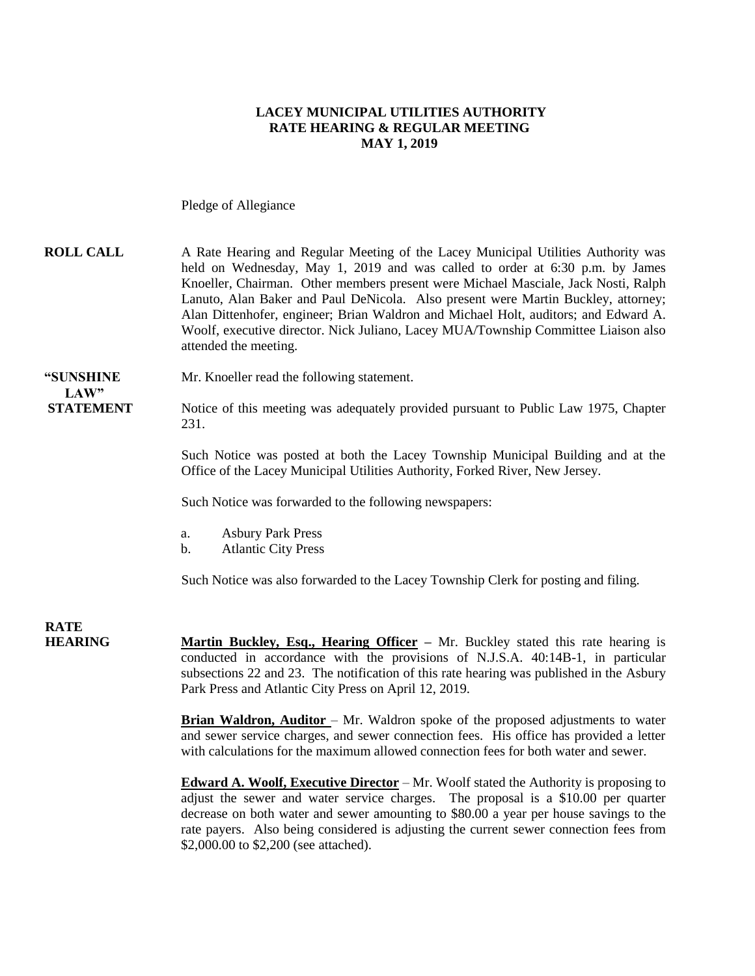#### **LACEY MUNICIPAL UTILITIES AUTHORITY RATE HEARING & REGULAR MEETING MAY 1, 2019**

Pledge of Allegiance

### **ROLL CALL** A Rate Hearing and Regular Meeting of the Lacey Municipal Utilities Authority was held on Wednesday, May 1, 2019 and was called to order at 6:30 p.m. by James Knoeller, Chairman. Other members present were Michael Masciale, Jack Nosti, Ralph Lanuto, Alan Baker and Paul DeNicola. Also present were Martin Buckley, attorney; Alan Dittenhofer, engineer; Brian Waldron and Michael Holt, auditors; and Edward A. Woolf, executive director. Nick Juliano, Lacey MUA/Township Committee Liaison also attended the meeting. **"SUNSHINE** Mr. Knoeller read the following statement. LAW" **STATEMENT** Notice of this meeting was adequately provided pursuant to Public Law 1975, Chapter 231. Such Notice was posted at both the Lacey Township Municipal Building and at the Office of the Lacey Municipal Utilities Authority, Forked River, New Jersey. Such Notice was forwarded to the following newspapers: a. Asbury Park Press b. Atlantic City Press Such Notice was also forwarded to the Lacey Township Clerk for posting and filing. **RATE HEARING Martin Buckley, Esq., Hearing Officer** – Mr. Buckley stated this rate hearing is conducted in accordance with the provisions of N.J.S.A. 40:14B-1, in particular

subsections 22 and 23. The notification of this rate hearing was published in the Asbury Park Press and Atlantic City Press on April 12, 2019.

**Brian Waldron, Auditor** – Mr. Waldron spoke of the proposed adjustments to water and sewer service charges, and sewer connection fees. His office has provided a letter with calculations for the maximum allowed connection fees for both water and sewer.

**Edward A. Woolf, Executive Director** – Mr. Woolf stated the Authority is proposing to adjust the sewer and water service charges. The proposal is a \$10.00 per quarter decrease on both water and sewer amounting to \$80.00 a year per house savings to the rate payers. Also being considered is adjusting the current sewer connection fees from \$2,000.00 to \$2,200 (see attached).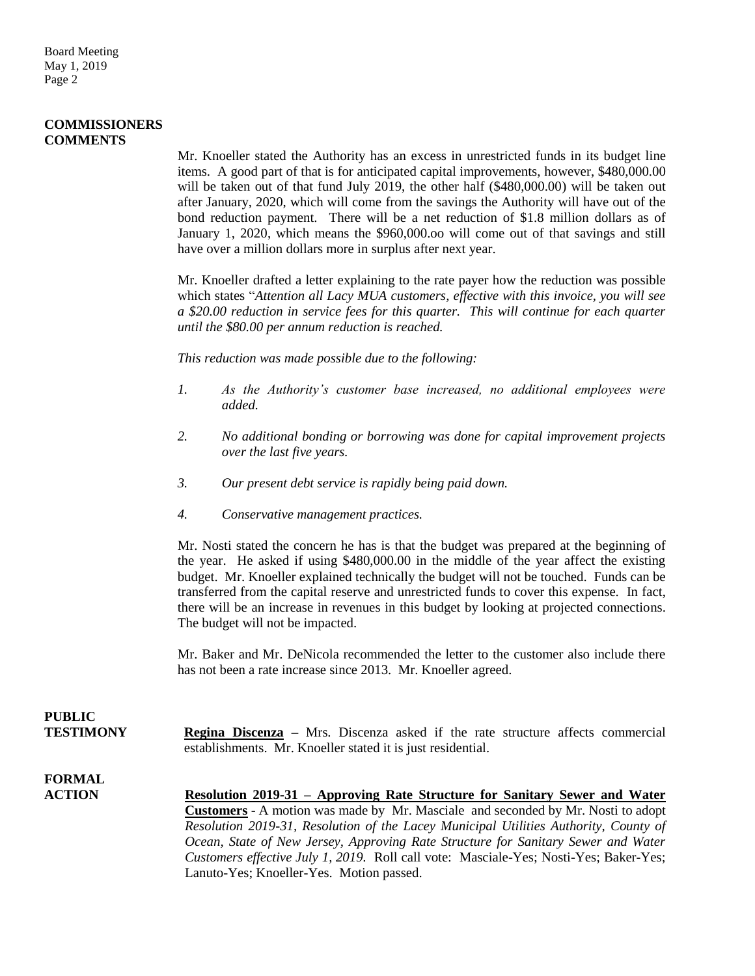#### **COMMISSIONERS COMMENTS**

Mr. Knoeller stated the Authority has an excess in unrestricted funds in its budget line items. A good part of that is for anticipated capital improvements, however, \$480,000.00 will be taken out of that fund July 2019, the other half (\$480,000.00) will be taken out after January, 2020, which will come from the savings the Authority will have out of the bond reduction payment. There will be a net reduction of \$1.8 million dollars as of January 1, 2020, which means the \$960,000.oo will come out of that savings and still have over a million dollars more in surplus after next year.

Mr. Knoeller drafted a letter explaining to the rate payer how the reduction was possible which states "*Attention all Lacy MUA customers, effective with this invoice, you will see a \$20.00 reduction in service fees for this quarter. This will continue for each quarter until the \$80.00 per annum reduction is reached.*

*This reduction was made possible due to the following:*

- *1. As the Authority's customer base increased, no additional employees were added.*
- *2. No additional bonding or borrowing was done for capital improvement projects over the last five years.*
- *3. Our present debt service is rapidly being paid down.*
- *4. Conservative management practices.*

Mr. Nosti stated the concern he has is that the budget was prepared at the beginning of the year. He asked if using \$480,000.00 in the middle of the year affect the existing budget. Mr. Knoeller explained technically the budget will not be touched. Funds can be transferred from the capital reserve and unrestricted funds to cover this expense. In fact, there will be an increase in revenues in this budget by looking at projected connections. The budget will not be impacted.

Mr. Baker and Mr. DeNicola recommended the letter to the customer also include there has not been a rate increase since 2013. Mr. Knoeller agreed.

## **PUBLIC**

**TESTIMONY Regina Discenza –** Mrs. Discenza asked if the rate structure affects commercial establishments. Mr. Knoeller stated it is just residential.

# **FORMAL**

**ACTION Resolution 2019-31 – Approving Rate Structure for Sanitary Sewer and Water Customers** - A motion was made by Mr. Masciale and seconded by Mr. Nosti to adopt *Resolution 2019-31, Resolution of the Lacey Municipal Utilities Authority, County of Ocean, State of New Jersey, Approving Rate Structure for Sanitary Sewer and Water Customers effective July 1, 2019.* Roll call vote: Masciale-Yes; Nosti-Yes; Baker-Yes; Lanuto-Yes; Knoeller-Yes. Motion passed.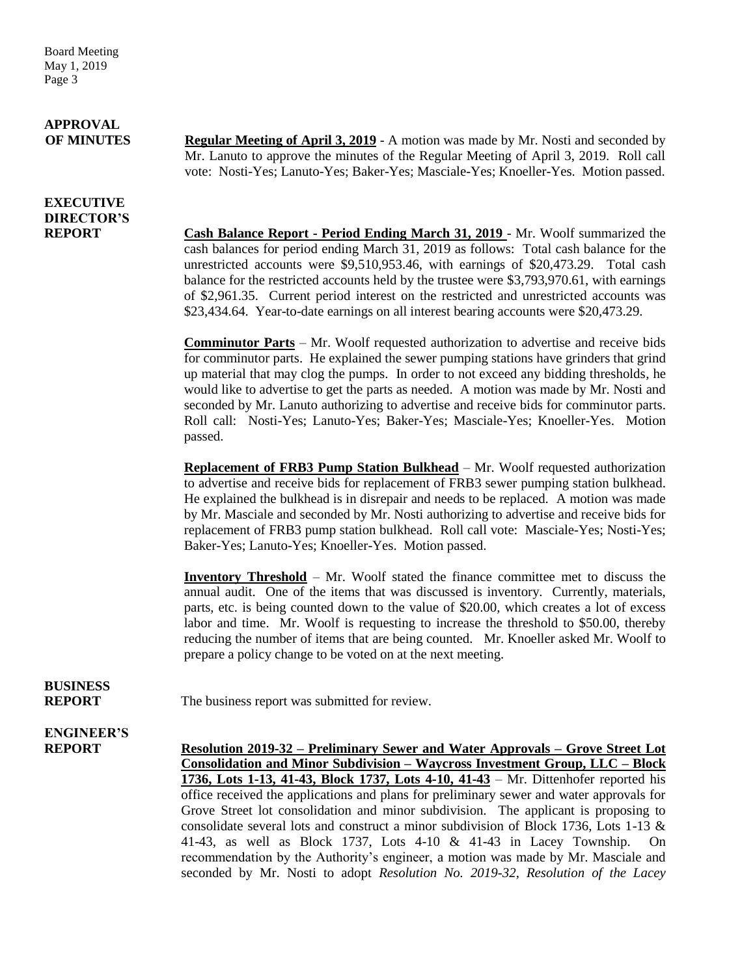Board Meeting May 1, 2019 Page 3

# **APPROVAL**

**EXECUTIVE DIRECTOR'S**

**OF MINUTES Regular Meeting of April 3, 2019** - A motion was made by Mr. Nosti and seconded by Mr. Lanuto to approve the minutes of the Regular Meeting of April 3, 2019. Roll call vote: Nosti-Yes; Lanuto-Yes; Baker-Yes; Masciale-Yes; Knoeller-Yes. Motion passed.

**REPORT Cash Balance Report - Period Ending March 31, 2019** - Mr. Woolf summarized the cash balances for period ending March 31, 2019 as follows: Total cash balance for the unrestricted accounts were \$9,510,953.46, with earnings of \$20,473.29. Total cash balance for the restricted accounts held by the trustee were \$3,793,970.61, with earnings of \$2,961.35. Current period interest on the restricted and unrestricted accounts was \$23,434.64. Year-to-date earnings on all interest bearing accounts were \$20,473.29.

> **Comminutor Parts** – Mr. Woolf requested authorization to advertise and receive bids for comminutor parts. He explained the sewer pumping stations have grinders that grind up material that may clog the pumps. In order to not exceed any bidding thresholds, he would like to advertise to get the parts as needed. A motion was made by Mr. Nosti and seconded by Mr. Lanuto authorizing to advertise and receive bids for comminutor parts. Roll call: Nosti-Yes; Lanuto-Yes; Baker-Yes; Masciale-Yes; Knoeller-Yes. Motion passed.

> **Replacement of FRB3 Pump Station Bulkhead** – Mr. Woolf requested authorization to advertise and receive bids for replacement of FRB3 sewer pumping station bulkhead. He explained the bulkhead is in disrepair and needs to be replaced. A motion was made by Mr. Masciale and seconded by Mr. Nosti authorizing to advertise and receive bids for replacement of FRB3 pump station bulkhead. Roll call vote: Masciale-Yes; Nosti-Yes; Baker-Yes; Lanuto-Yes; Knoeller-Yes. Motion passed.

> **Inventory Threshold** – Mr. Woolf stated the finance committee met to discuss the annual audit. One of the items that was discussed is inventory. Currently, materials, parts, etc. is being counted down to the value of \$20.00, which creates a lot of excess labor and time. Mr. Woolf is requesting to increase the threshold to \$50.00, thereby reducing the number of items that are being counted. Mr. Knoeller asked Mr. Woolf to prepare a policy change to be voted on at the next meeting.

**BUSINESS**

**REPORT** The business report was submitted for review.

# **ENGINEER'S**

**REPORT Resolution 2019-32 – Preliminary Sewer and Water Approvals – Grove Street Lot Consolidation and Minor Subdivision – Waycross Investment Group, LLC – Block 1736, Lots 1-13, 41-43, Block 1737, Lots 4-10, 41-43** – Mr. Dittenhofer reported his office received the applications and plans for preliminary sewer and water approvals for Grove Street lot consolidation and minor subdivision. The applicant is proposing to consolidate several lots and construct a minor subdivision of Block 1736, Lots 1-13 & 41-43, as well as Block 1737, Lots 4-10 & 41-43 in Lacey Township. On recommendation by the Authority's engineer, a motion was made by Mr. Masciale and seconded by Mr. Nosti to adopt *Resolution No. 2019-32, Resolution of the Lacey*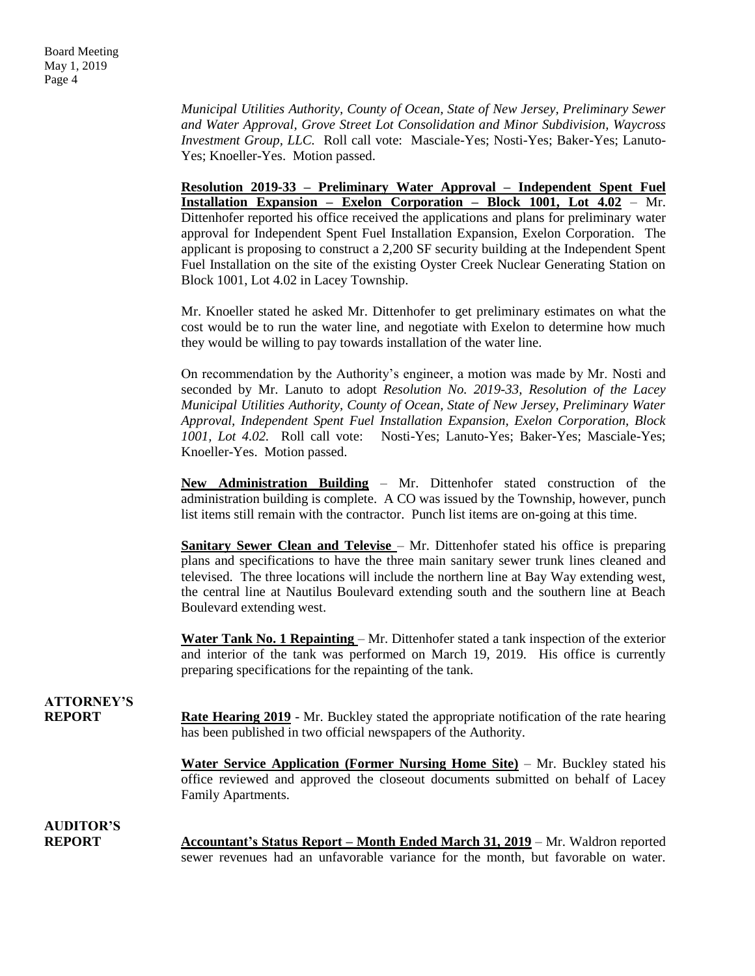*Municipal Utilities Authority, County of Ocean, State of New Jersey, Preliminary Sewer and Water Approval, Grove Street Lot Consolidation and Minor Subdivision, Waycross Investment Group, LLC.* Roll call vote: Masciale-Yes; Nosti-Yes; Baker-Yes; Lanuto-Yes; Knoeller-Yes. Motion passed.

**Resolution 2019-33 – Preliminary Water Approval – Independent Spent Fuel Installation Expansion – Exelon Corporation – Block 1001, Lot 4.02** – Mr. Dittenhofer reported his office received the applications and plans for preliminary water approval for Independent Spent Fuel Installation Expansion, Exelon Corporation. The applicant is proposing to construct a 2,200 SF security building at the Independent Spent Fuel Installation on the site of the existing Oyster Creek Nuclear Generating Station on Block 1001, Lot 4.02 in Lacey Township.

Mr. Knoeller stated he asked Mr. Dittenhofer to get preliminary estimates on what the cost would be to run the water line, and negotiate with Exelon to determine how much they would be willing to pay towards installation of the water line.

On recommendation by the Authority's engineer, a motion was made by Mr. Nosti and seconded by Mr. Lanuto to adopt *Resolution No. 2019-33, Resolution of the Lacey Municipal Utilities Authority, County of Ocean, State of New Jersey, Preliminary Water Approval, Independent Spent Fuel Installation Expansion, Exelon Corporation, Block 1001, Lot 4.02.* Roll call vote: Nosti-Yes; Lanuto-Yes; Baker-Yes; Masciale-Yes; Knoeller-Yes. Motion passed.

**New Administration Building** – Mr. Dittenhofer stated construction of the administration building is complete. A CO was issued by the Township, however, punch list items still remain with the contractor. Punch list items are on-going at this time.

**Sanitary Sewer Clean and Televise** – Mr. Dittenhofer stated his office is preparing plans and specifications to have the three main sanitary sewer trunk lines cleaned and televised. The three locations will include the northern line at Bay Way extending west, the central line at Nautilus Boulevard extending south and the southern line at Beach Boulevard extending west.

**Water Tank No. 1 Repainting** – Mr. Dittenhofer stated a tank inspection of the exterior and interior of the tank was performed on March 19, 2019. His office is currently preparing specifications for the repainting of the tank.

### **ATTORNEY'S REPORT Rate Hearing 2019** - Mr. Buckley stated the appropriate notification of the rate hearing has been published in two official newspapers of the Authority.

**Water Service Application (Former Nursing Home Site)** – Mr. Buckley stated his office reviewed and approved the closeout documents submitted on behalf of Lacey Family Apartments.

### **AUDITOR'S**

**REPORT Accountant's Status Report – Month Ended March 31, 2019** – Mr. Waldron reported sewer revenues had an unfavorable variance for the month, but favorable on water.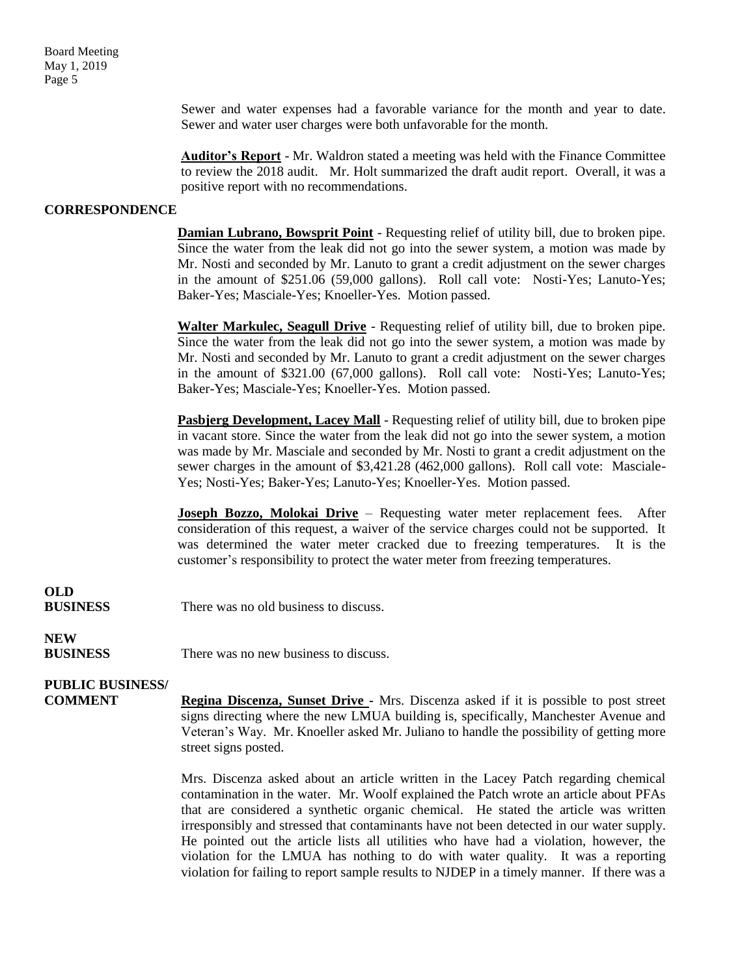Board Meeting May 1, 2019 Page 5

> Sewer and water expenses had a favorable variance for the month and year to date. Sewer and water user charges were both unfavorable for the month.

> **Auditor's Report** - Mr. Waldron stated a meeting was held with the Finance Committee to review the 2018 audit. Mr. Holt summarized the draft audit report. Overall, it was a positive report with no recommendations.

#### **CORRESPONDENCE**

**Damian Lubrano, Bowsprit Point** - Requesting relief of utility bill, due to broken pipe. Since the water from the leak did not go into the sewer system, a motion was made by Mr. Nosti and seconded by Mr. Lanuto to grant a credit adjustment on the sewer charges in the amount of \$251.06 (59,000 gallons). Roll call vote: Nosti-Yes; Lanuto-Yes; Baker-Yes; Masciale-Yes; Knoeller-Yes. Motion passed.

**Walter Markulec, Seagull Drive** - Requesting relief of utility bill, due to broken pipe. Since the water from the leak did not go into the sewer system, a motion was made by Mr. Nosti and seconded by Mr. Lanuto to grant a credit adjustment on the sewer charges in the amount of \$321.00 (67,000 gallons). Roll call vote: Nosti-Yes; Lanuto-Yes; Baker-Yes; Masciale-Yes; Knoeller-Yes. Motion passed.

**Pasbjerg Development, Lacey Mall** - Requesting relief of utility bill, due to broken pipe in vacant store. Since the water from the leak did not go into the sewer system, a motion was made by Mr. Masciale and seconded by Mr. Nosti to grant a credit adjustment on the sewer charges in the amount of \$3,421.28 (462,000 gallons). Roll call vote: Masciale-Yes; Nosti-Yes; Baker-Yes; Lanuto-Yes; Knoeller-Yes. Motion passed.

**Joseph Bozzo, Molokai Drive** - Requesting water meter replacement fees. After consideration of this request, a waiver of the service charges could not be supported. It was determined the water meter cracked due to freezing temperatures. It is the customer's responsibility to protect the water meter from freezing temperatures.

## **OLD**

**BUSINESS** There was no old business to discuss.

## **NEW**

**BUSINESS** There was no new business to discuss.

### **PUBLIC BUSINESS/**

**COMMENT Regina Discenza, Sunset Drive -** Mrs. Discenza asked if it is possible to post street signs directing where the new LMUA building is, specifically, Manchester Avenue and Veteran's Way. Mr. Knoeller asked Mr. Juliano to handle the possibility of getting more street signs posted.

> Mrs. Discenza asked about an article written in the Lacey Patch regarding chemical contamination in the water. Mr. Woolf explained the Patch wrote an article about PFAs that are considered a synthetic organic chemical. He stated the article was written irresponsibly and stressed that contaminants have not been detected in our water supply. He pointed out the article lists all utilities who have had a violation, however, the violation for the LMUA has nothing to do with water quality. It was a reporting violation for failing to report sample results to NJDEP in a timely manner. If there was a